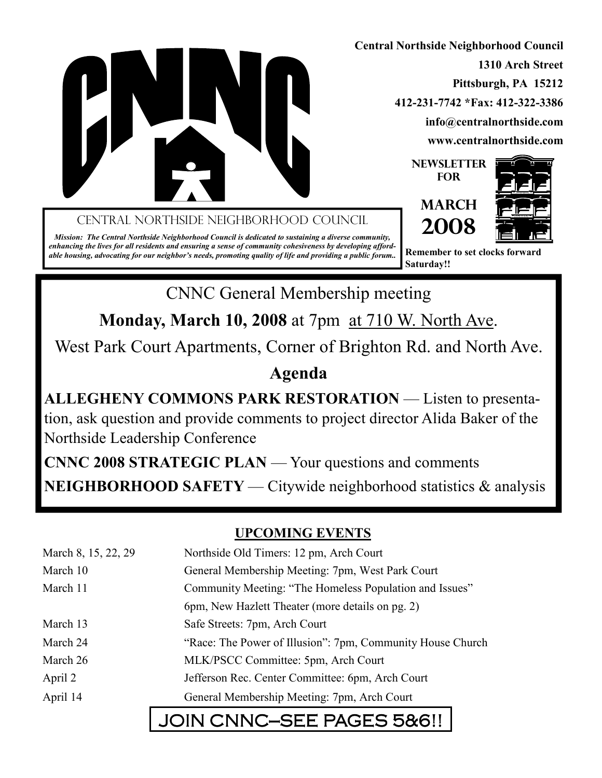

Central Northside Neighborhood Council

Mission: The Central Northside Neighborhood Council is dedicated to sustaining a diverse community, enhancing the lives for all residents and ensuring a sense of community cohesiveness by developing affordable housing, advocating for our neighbor's needs, promoting quality of life and providing a public forum..

Central Northside Neighborhood Council 1310 Arch Street Pittsburgh, PA 15212 412-231-7742 \*Fax: 412-322-3386 info@centralnorthside.com www.centralnorthside.com

> **NEWSLETTER FOR**





Remember to set clocks forward Saturday!!

CNNC General Membership meeting

Monday, March 10, 2008 at 7pm at 710 W. North Ave.

West Park Court Apartments, Corner of Brighton Rd. and North Ave.

## Agenda

ALLEGHENY COMMONS PARK RESTORATION — Listen to presentation, ask question and provide comments to project director Alida Baker of the Northside Leadership Conference

CNNC 2008 STRATEGIC PLAN — Your questions and comments NEIGHBORHOOD SAFETY — Citywide neighborhood statistics & analysis

## UPCOMING EVENTS

| March 8, 15, 22, 29 | Northside Old Timers: 12 pm, Arch Court                    |  |
|---------------------|------------------------------------------------------------|--|
| March 10            | General Membership Meeting: 7pm, West Park Court           |  |
| March 11            | Community Meeting: "The Homeless Population and Issues"    |  |
|                     | 6pm, New Hazlett Theater (more details on pg. 2)           |  |
| March 13            | Safe Streets: 7pm, Arch Court                              |  |
| March 24            | "Race: The Power of Illusion": 7pm, Community House Church |  |
| March 26            | MLK/PSCC Committee: 5pm, Arch Court                        |  |
| April 2             | Jefferson Rec. Center Committee: 6pm, Arch Court           |  |
| April 14            | General Membership Meeting: 7pm, Arch Court                |  |
|                     |                                                            |  |

# JOIN CNNC-SEE PAGES 5&6!!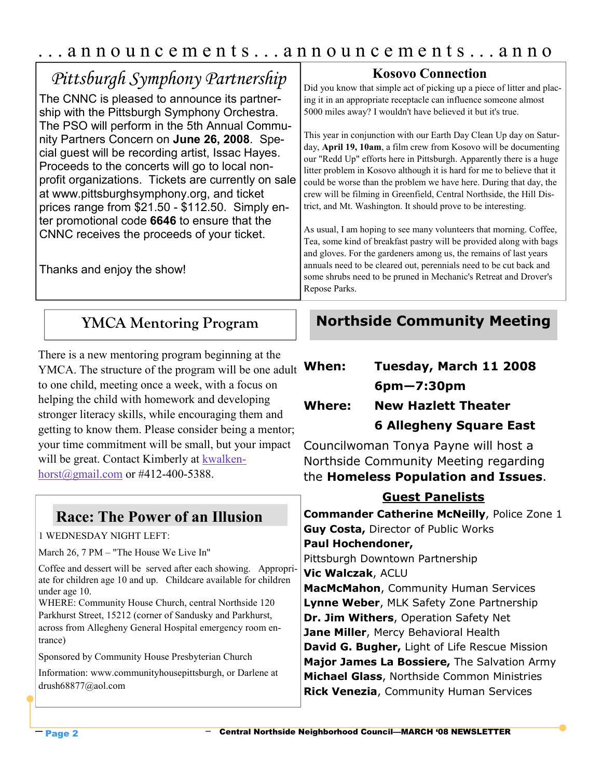## . . . a n n o u n c e m e n t s . . . a n n o u n c e m e n t s . . . a n n o

| Pittsburgh Symphony Partnership<br>The CNNC is pleased to announce its partner-<br>ship with the Pittsburgh Symphony Orchestra.<br>The PSO will perform in the 5th Annual Commu-<br>nity Partners Concern on June 26, 2008. Spe-<br>cial guest will be recording artist, Issac Hayes.<br>Proceeds to the concerts will go to local non-<br>profit organizations. Tickets are currently on sale<br>at www.pittsburghsymphony.org, and ticket<br>prices range from \$21.50 - \$112.50. Simply en-<br>ter promotional code 6646 to ensure that the<br>CNNC receives the proceeds of your ticket.<br>Thanks and enjoy the show! | <b>Kosovo Connection</b><br>Did you know that simple act of picking up a piece of litter and plac-<br>ing it in an appropriate receptacle can influence someone almost<br>5000 miles away? I wouldn't have believed it but it's true.<br>This year in conjunction with our Earth Day Clean Up day on Satur-<br>day, April 19, 10am, a film crew from Kosovo will be documenting<br>our "Redd Up" efforts here in Pittsburgh. Apparently there is a huge<br>litter problem in Kosovo although it is hard for me to believe that it<br>could be worse than the problem we have here. During that day, the<br>crew will be filming in Greenfield, Central Northside, the Hill Dis-<br>trict, and Mt. Washington. It should prove to be interesting.<br>As usual, I am hoping to see many volunteers that morning. Coffee,<br>Tea, some kind of breakfast pastry will be provided along with bags<br>and gloves. For the gardeners among us, the remains of last years<br>annuals need to be cleared out, perennials need to be cut back and<br>some shrubs need to be pruned in Mechanic's Retreat and Drover's<br>Repose Parks. |
|-----------------------------------------------------------------------------------------------------------------------------------------------------------------------------------------------------------------------------------------------------------------------------------------------------------------------------------------------------------------------------------------------------------------------------------------------------------------------------------------------------------------------------------------------------------------------------------------------------------------------------|-------------------------------------------------------------------------------------------------------------------------------------------------------------------------------------------------------------------------------------------------------------------------------------------------------------------------------------------------------------------------------------------------------------------------------------------------------------------------------------------------------------------------------------------------------------------------------------------------------------------------------------------------------------------------------------------------------------------------------------------------------------------------------------------------------------------------------------------------------------------------------------------------------------------------------------------------------------------------------------------------------------------------------------------------------------------------------------------------------------------------------|
| <b>YMCA Mentoring Program</b>                                                                                                                                                                                                                                                                                                                                                                                                                                                                                                                                                                                               | <b>Northside Community Meeting</b>                                                                                                                                                                                                                                                                                                                                                                                                                                                                                                                                                                                                                                                                                                                                                                                                                                                                                                                                                                                                                                                                                            |

There is a new mentoring program beginning at the YMCA. The structure of the program will be one adult to one child, meeting once a week, with a focus on helping the child with homework and developing stronger literacy skills, while encouraging them and getting to know them. Please consider being a mentor; your time commitment will be small, but your impact will be great. Contact Kimberly at kwalkenhorst@gmail.com or #412-400-5388.

### Race: The Power of an Illusion

#### 1 WEDNESDAY NIGHT LEFT:

March 26, 7 PM – "The House We Live In"

Coffee and dessert will be served after each showing. Appropriate for children age 10 and up. Childcare available for children under age 10. WHERE: Community House Church, central Northside 120

Parkhurst Street, 15212 (corner of Sandusky and Parkhurst, across from Allegheny General Hospital emergency room entrance)

Sponsored by Community House Presbyterian Church

Information: www.communityhousepittsburgh, or Darlene at drush68877@aol.com

# When: Tuesday, March 11 2008 6pm—7:30pm Where: New Hazlett Theater

6 Allegheny Square East

Councilwoman Tonya Payne will host a Northside Community Meeting regarding the Homeless Population and Issues.

### Guest Panelists

**Commander Catherine McNeilly, Police Zone 1** Guy Costa, Director of Public Works Paul Hochendoner, Pittsburgh Downtown Partnership Vic Walczak, ACLU **MacMcMahon, Community Human Services** Lynne Weber, MLK Safety Zone Partnership Dr. Jim Withers, Operation Safety Net Jane Miller, Mercy Behavioral Health David G. Bugher, Light of Life Rescue Mission Major James La Bossiere, The Salvation Army **Michael Glass, Northside Common Ministries Rick Venezia, Community Human Services**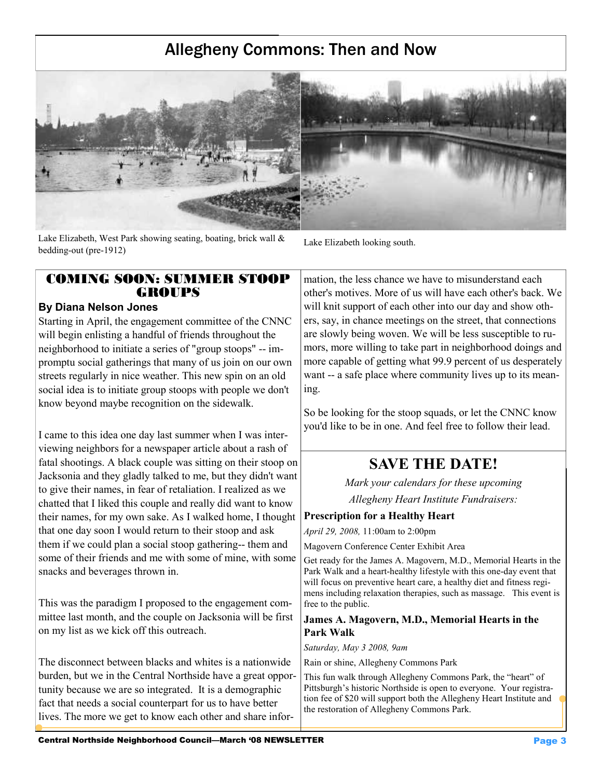## Allegheny Commons: Then and Now



Lake Elizabeth, West Park showing seating, boating, brick wall  $\&$ bedding-out (pre-1912)

Lake Elizabeth looking south.

#### COMING SOON: SUMMER STOOP **GROUPS**

#### By Diana Nelson Jones

Starting in April, the engagement committee of the CNNC will begin enlisting a handful of friends throughout the neighborhood to initiate a series of "group stoops" -- impromptu social gatherings that many of us join on our own streets regularly in nice weather. This new spin on an old social idea is to initiate group stoops with people we don't know beyond maybe recognition on the sidewalk.

I came to this idea one day last summer when I was interviewing neighbors for a newspaper article about a rash of fatal shootings. A black couple was sitting on their stoop on Jacksonia and they gladly talked to me, but they didn't want to give their names, in fear of retaliation. I realized as we chatted that I liked this couple and really did want to know their names, for my own sake. As I walked home, I thought that one day soon I would return to their stoop and ask them if we could plan a social stoop gathering-- them and some of their friends and me with some of mine, with some snacks and beverages thrown in.

This was the paradigm I proposed to the engagement committee last month, and the couple on Jacksonia will be first on my list as we kick off this outreach.

The disconnect between blacks and whites is a nationwide burden, but we in the Central Northside have a great opportunity because we are so integrated. It is a demographic fact that needs a social counterpart for us to have better lives. The more we get to know each other and share infor-

mation, the less chance we have to misunderstand each other's motives. More of us will have each other's back. We will knit support of each other into our day and show others, say, in chance meetings on the street, that connections are slowly being woven. We will be less susceptible to rumors, more willing to take part in neighborhood doings and more capable of getting what 99.9 percent of us desperately want -- a safe place where community lives up to its meaning.

So be looking for the stoop squads, or let the CNNC know you'd like to be in one. And feel free to follow their lead.

## SAVE THE DATE!

Mark your calendars for these upcoming Allegheny Heart Institute Fundraisers:

Prescription for a Healthy Heart

April 29, 2008, 11:00am to 2:00pm

Magovern Conference Center Exhibit Area

Get ready for the James A. Magovern, M.D., Memorial Hearts in the Park Walk and a heart-healthy lifestyle with this one-day event that will focus on preventive heart care, a healthy diet and fitness regimens including relaxation therapies, such as massage. This event is free to the public.

#### James A. Magovern, M.D., Memorial Hearts in the Park Walk

Saturday, May 3 2008, 9am

Rain or shine, Allegheny Commons Park

This fun walk through Allegheny Commons Park, the "heart" of Pittsburgh's historic Northside is open to everyone. Your registration fee of \$20 will support both the Allegheny Heart Institute and the restoration of Allegheny Commons Park.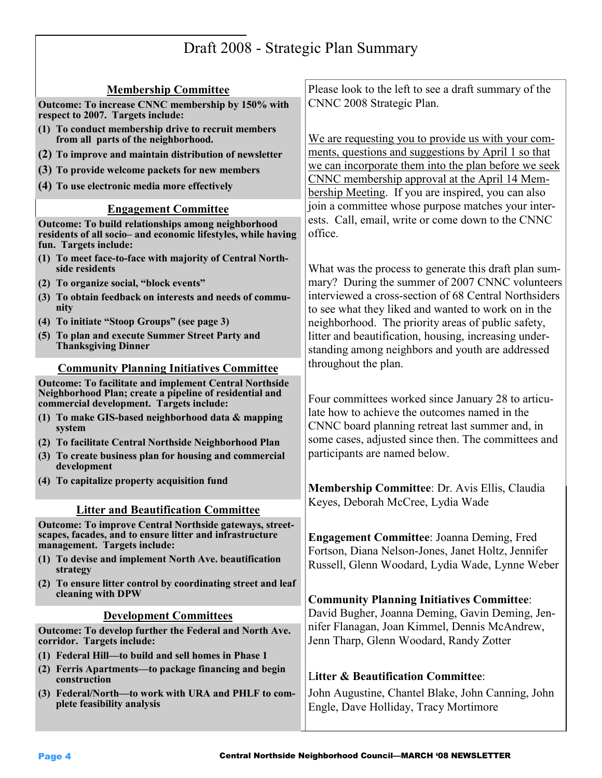# Draft 2008 - Strategic Plan Summary

| <b>Membership Committee</b>                                                                                                                                          | Please look to the left to see a draft summary of the                                                                                                           |
|----------------------------------------------------------------------------------------------------------------------------------------------------------------------|-----------------------------------------------------------------------------------------------------------------------------------------------------------------|
| Outcome: To increase CNNC membership by 150% with<br>respect to 2007. Targets include:                                                                               | CNNC 2008 Strategic Plan.                                                                                                                                       |
| (1) To conduct membership drive to recruit members<br>from all parts of the neighborhood.                                                                            | We are requesting you to provide us with your com-<br>ments, questions and suggestions by April 1 so that                                                       |
| (2) To improve and maintain distribution of newsletter                                                                                                               |                                                                                                                                                                 |
| (3) To provide welcome packets for new members                                                                                                                       | we can incorporate them into the plan before we seek<br>CNNC membership approval at the April 14 Mem-                                                           |
| (4) To use electronic media more effectively                                                                                                                         | bership Meeting. If you are inspired, you can also                                                                                                              |
| <b>Engagement Committee</b>                                                                                                                                          | join a committee whose purpose matches your inter-                                                                                                              |
| Outcome: To build relationships among neighborhood<br>residents of all socio- and economic lifestyles, while having<br>fun. Targets include:                         | ests. Call, email, write or come down to the CNNC<br>office.                                                                                                    |
| (1) To meet face-to-face with majority of Central North-<br>side residents                                                                                           | What was the process to generate this draft plan sum-                                                                                                           |
| (2) To organize social, "block events"                                                                                                                               | mary? During the summer of 2007 CNNC volunteers<br>interviewed a cross-section of 68 Central Northsiders<br>to see what they liked and wanted to work on in the |
| (3) To obtain feedback on interests and needs of commu-<br>nity                                                                                                      |                                                                                                                                                                 |
| (4) To initiate "Stoop Groups" (see page 3)                                                                                                                          | neighborhood. The priority areas of public safety,                                                                                                              |
| (5) To plan and execute Summer Street Party and<br><b>Thanksgiving Dinner</b>                                                                                        | litter and beautification, housing, increasing under-<br>standing among neighbors and youth are addressed<br>throughout the plan.                               |
| <b>Community Planning Initiatives Committee</b>                                                                                                                      |                                                                                                                                                                 |
| <b>Outcome: To facilitate and implement Central Northside</b><br>Neighborhood Plan; create a pipeline of residential and<br>commercial development. Targets include: | Four committees worked since January 28 to articu-<br>late how to achieve the outcomes named in the                                                             |
| (1) To make GIS-based neighborhood data & mapping<br>system                                                                                                          | CNNC board planning retreat last summer and, in                                                                                                                 |
| (2) To facilitate Central Northside Neighborhood Plan                                                                                                                | some cases, adjusted since then. The committees and<br>participants are named below.                                                                            |
| (3) To create business plan for housing and commercial<br>development                                                                                                |                                                                                                                                                                 |
| (4) To capitalize property acquisition fund                                                                                                                          | <b>Membership Committee: Dr. Avis Ellis, Claudia</b>                                                                                                            |
|                                                                                                                                                                      | Keyes, Deborah McCree, Lydia Wade                                                                                                                               |
| <b>Litter and Beautification Committee</b><br><b>Outcome: To improve Central Northside gateways, street-</b>                                                         |                                                                                                                                                                 |
| scapes, facades, and to ensure litter and infrastructure<br>management. Targets include:                                                                             | <b>Engagement Committee: Joanna Deming, Fred</b><br>Fortson, Diana Nelson-Jones, Janet Holtz, Jennifer                                                          |
| (1) To devise and implement North Ave. beautification<br>strategy                                                                                                    | Russell, Glenn Woodard, Lydia Wade, Lynne Weber                                                                                                                 |
| (2) To ensure litter control by coordinating street and leaf<br>cleaning with DPW                                                                                    | <b>Community Planning Initiatives Committee:</b>                                                                                                                |
| <b>Development Committees</b>                                                                                                                                        | David Bugher, Joanna Deming, Gavin Deming, Jen-                                                                                                                 |
| Outcome: To develop further the Federal and North Ave.<br>corridor. Targets include:                                                                                 | nifer Flanagan, Joan Kimmel, Dennis McAndrew,<br>Jenn Tharp, Glenn Woodard, Randy Zotter                                                                        |
| (1) Federal Hill-to build and sell homes in Phase 1                                                                                                                  |                                                                                                                                                                 |
| (2) Ferris Apartments—to package financing and begin<br>construction                                                                                                 | <b>Litter &amp; Beautification Committee:</b>                                                                                                                   |
| (3) Federal/North-to work with URA and PHLF to com-<br>plete feasibility analysis                                                                                    | John Augustine, Chantel Blake, John Canning, John<br>Engle, Dave Holliday, Tracy Mortimore                                                                      |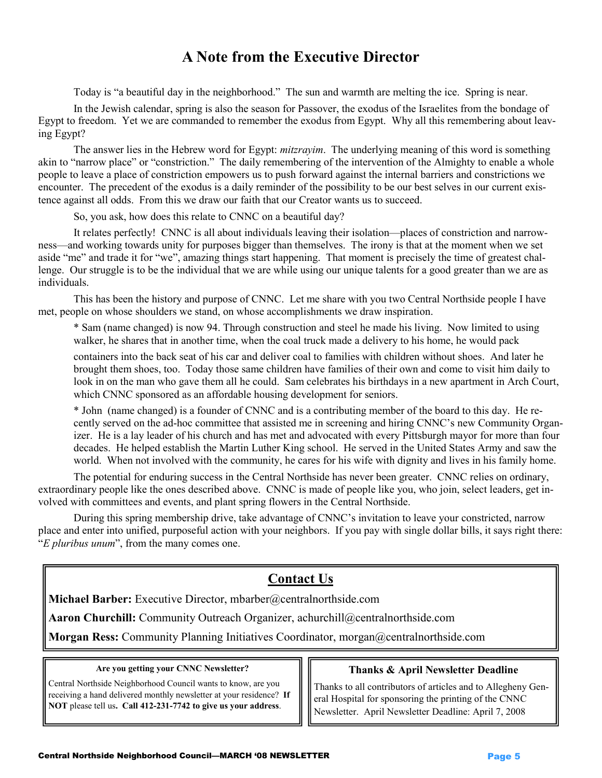### A Note from the Executive Director

Today is "a beautiful day in the neighborhood." The sun and warmth are melting the ice. Spring is near.

 In the Jewish calendar, spring is also the season for Passover, the exodus of the Israelites from the bondage of Egypt to freedom. Yet we are commanded to remember the exodus from Egypt. Why all this remembering about leaving Egypt?

The answer lies in the Hebrew word for Egypt: *mitzrayim*. The underlying meaning of this word is something akin to "narrow place" or "constriction." The daily remembering of the intervention of the Almighty to enable a whole people to leave a place of constriction empowers us to push forward against the internal barriers and constrictions we encounter. The precedent of the exodus is a daily reminder of the possibility to be our best selves in our current existence against all odds. From this we draw our faith that our Creator wants us to succeed.

So, you ask, how does this relate to CNNC on a beautiful day?

 It relates perfectly! CNNC is all about individuals leaving their isolation—places of constriction and narrowness—and working towards unity for purposes bigger than themselves. The irony is that at the moment when we set aside "me" and trade it for "we", amazing things start happening. That moment is precisely the time of greatest challenge. Our struggle is to be the individual that we are while using our unique talents for a good greater than we are as individuals.

 This has been the history and purpose of CNNC. Let me share with you two Central Northside people I have met, people on whose shoulders we stand, on whose accomplishments we draw inspiration.

 \* Sam (name changed) is now 94. Through construction and steel he made his living. Now limited to using walker, he shares that in another time, when the coal truck made a delivery to his home, he would pack

 containers into the back seat of his car and deliver coal to families with children without shoes. And later he brought them shoes, too. Today those same children have families of their own and come to visit him daily to look in on the man who gave them all he could. Sam celebrates his birthdays in a new apartment in Arch Court, which CNNC sponsored as an affordable housing development for seniors.

 \* John (name changed) is a founder of CNNC and is a contributing member of the board to this day. He re cently served on the ad-hoc committee that assisted me in screening and hiring CNNC's new Community Organ izer. He is a lay leader of his church and has met and advocated with every Pittsburgh mayor for more than four decades. He helped establish the Martin Luther King school. He served in the United States Army and saw the world. When not involved with the community, he cares for his wife with dignity and lives in his family home.

 The potential for enduring success in the Central Northside has never been greater. CNNC relies on ordinary, extraordinary people like the ones described above. CNNC is made of people like you, who join, select leaders, get involved with committees and events, and plant spring flowers in the Central Northside.

 During this spring membership drive, take advantage of CNNC's invitation to leave your constricted, narrow place and enter into unified, purposeful action with your neighbors. If you pay with single dollar bills, it says right there: "E pluribus unum", from the many comes one.

### Contact Us

Michael Barber: Executive Director, mbarber@centralnorthside.com

Aaron Churchill: Community Outreach Organizer, achurchill@centralnorthside.com

Morgan Ress: Community Planning Initiatives Coordinator, morgan@centralnorthside.com

#### Are you getting your CNNC Newsletter?

Central Northside Neighborhood Council wants to know, are you receiving a hand delivered monthly newsletter at your residence? If NOT please tell us. Call 412-231-7742 to give us your address.

#### Thanks & April Newsletter Deadline

Thanks to all contributors of articles and to Allegheny General Hospital for sponsoring the printing of the CNNC Newsletter. April Newsletter Deadline: April 7, 2008